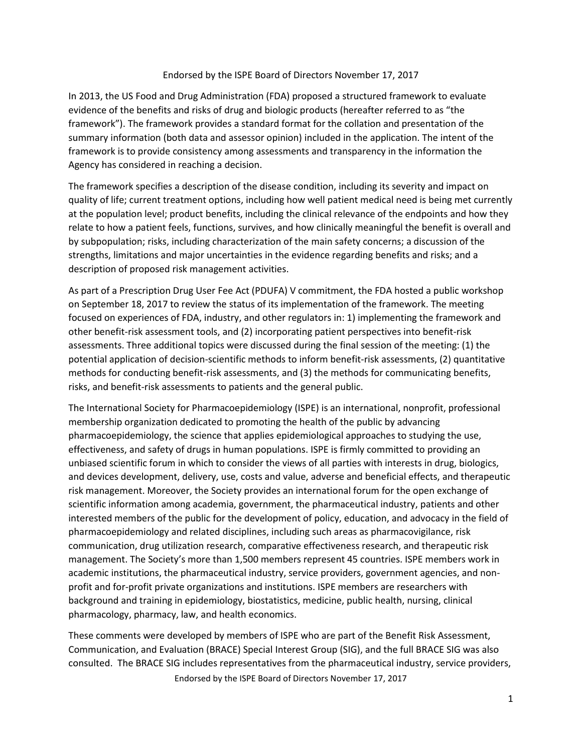## Endorsed by the ISPE Board of Directors November 17, 2017

In 2013, the US Food and Drug Administration (FDA) proposed a structured framework to evaluate evidence of the benefits and risks of drug and biologic products (hereafter referred to as "the framework"). The framework provides a standard format for the collation and presentation of the summary information (both data and assessor opinion) included in the application. The intent of the framework is to provide consistency among assessments and transparency in the information the Agency has considered in reaching a decision.

The framework specifies a description of the disease condition, including its severity and impact on quality of life; current treatment options, including how well patient medical need is being met currently at the population level; product benefits, including the clinical relevance of the endpoints and how they relate to how a patient feels, functions, survives, and how clinically meaningful the benefit is overall and by subpopulation; risks, including characterization of the main safety concerns; a discussion of the strengths, limitations and major uncertainties in the evidence regarding benefits and risks; and a description of proposed risk management activities.

As part of a Prescription Drug User Fee Act (PDUFA) V commitment, the FDA hosted a public workshop on September 18, 2017 to review the status of its implementation of the framework. The meeting focused on experiences of FDA, industry, and other regulators in: 1) implementing the framework and other benefit-risk assessment tools, and (2) incorporating patient perspectives into benefit-risk assessments. Three additional topics were discussed during the final session of the meeting: (1) the potential application of decision-scientific methods to inform benefit-risk assessments, (2) quantitative methods for conducting benefit-risk assessments, and (3) the methods for communicating benefits, risks, and benefit-risk assessments to patients and the general public.

The International Society for Pharmacoepidemiology (ISPE) is an international, nonprofit, professional membership organization dedicated to promoting the health of the public by advancing pharmacoepidemiology, the science that applies epidemiological approaches to studying the use, effectiveness, and safety of drugs in human populations. ISPE is firmly committed to providing an unbiased scientific forum in which to consider the views of all parties with interests in drug, biologics, and devices development, delivery, use, costs and value, adverse and beneficial effects, and therapeutic risk management. Moreover, the Society provides an international forum for the open exchange of scientific information among academia, government, the pharmaceutical industry, patients and other interested members of the public for the development of policy, education, and advocacy in the field of pharmacoepidemiology and related disciplines, including such areas as pharmacovigilance, risk communication, drug utilization research, comparative effectiveness research, and therapeutic risk management. The Society's more than 1,500 members represent 45 countries. ISPE members work in academic institutions, the pharmaceutical industry, service providers, government agencies, and nonprofit and for-profit private organizations and institutions. ISPE members are researchers with background and training in epidemiology, biostatistics, medicine, public health, nursing, clinical pharmacology, pharmacy, law, and health economics.

Endorsed by the ISPE Board of Directors November 17, 2017 These comments were developed by members of ISPE who are part of the Benefit Risk Assessment, Communication, and Evaluation (BRACE) Special Interest Group (SIG), and the full BRACE SIG was also consulted. The BRACE SIG includes representatives from the pharmaceutical industry, service providers,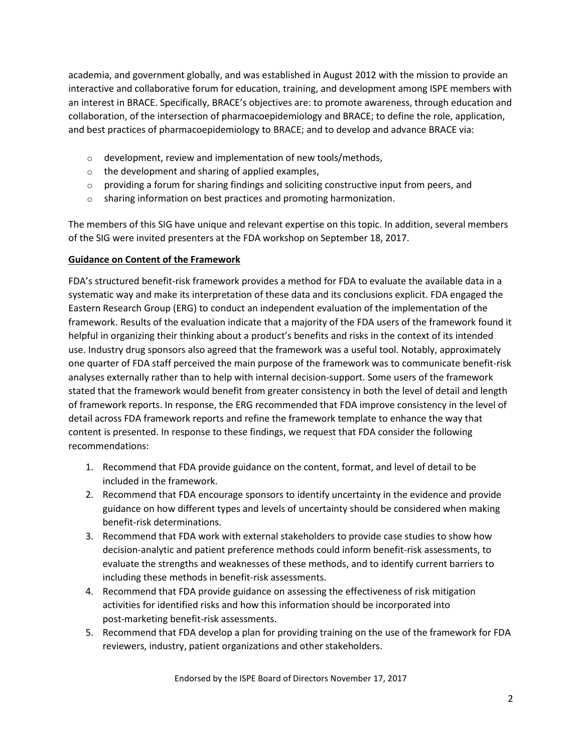academia, and government globally, and was established in August 2012 with the mission to provide an interactive and collaborative forum for education, training, and development among ISPE members with an interest in BRACE. Specifically, BRACE's objectives are: to promote awareness, through education and collaboration, of the intersection of pharmacoepidemiology and BRACE; to define the role, application, and best practices of pharmacoepidemiology to BRACE; and to develop and advance BRACE via:

- $\circ$  development, review and implementation of new tools/methods,
- o the development and sharing of applied examples,
- $\circ$  providing a forum for sharing findings and soliciting constructive input from peers, and
- o sharing information on best practices and promoting harmonization.

The members of this SIG have unique and relevant expertise on this topic. In addition, several members of the SIG were invited presenters at the FDA workshop on September 18, 2017.

## **Guidance on Content of the Framework**

FDA's structured benefit-risk framework provides a method for FDA to evaluate the available data in a systematic way and make its interpretation of these data and its conclusions explicit. FDA engaged the Eastern Research Group (ERG) to conduct an independent evaluation of the implementation of the framework. Results of the evaluation indicate that a majority of the FDA users of the framework found it helpful in organizing their thinking about a product's benefits and risks in the context of its intended use. Industry drug sponsors also agreed that the framework was a useful tool. Notably, approximately one quarter of FDA staff perceived the main purpose of the framework was to communicate benefit-risk analyses externally rather than to help with internal decision-support. Some users of the framework stated that the framework would benefit from greater consistency in both the level of detail and length of framework reports. In response, the ERG recommended that FDA improve consistency in the level of detail across FDA framework reports and refine the framework template to enhance the way that content is presented. In response to these findings, we request that FDA consider the following recommendations:

- 1. Recommend that FDA provide guidance on the content, format, and level of detail to be included in the framework.
- 2. Recommend that FDA encourage sponsors to identify uncertainty in the evidence and provide guidance on how different types and levels of uncertainty should be considered when making benefit-risk determinations.
- 3. Recommend that FDA work with external stakeholders to provide case studies to show how decision-analytic and patient preference methods could inform benefit-risk assessments, to evaluate the strengths and weaknesses of these methods, and to identify current barriers to including these methods in benefit-risk assessments.
- 4. Recommend that FDA provide guidance on assessing the effectiveness of risk mitigation activities for identified risks and how this information should be incorporated into post-marketing benefit-risk assessments.
- 5. Recommend that FDA develop a plan for providing training on the use of the framework for FDA reviewers, industry, patient organizations and other stakeholders.

Endorsed by the ISPE Board of Directors November 17, 2017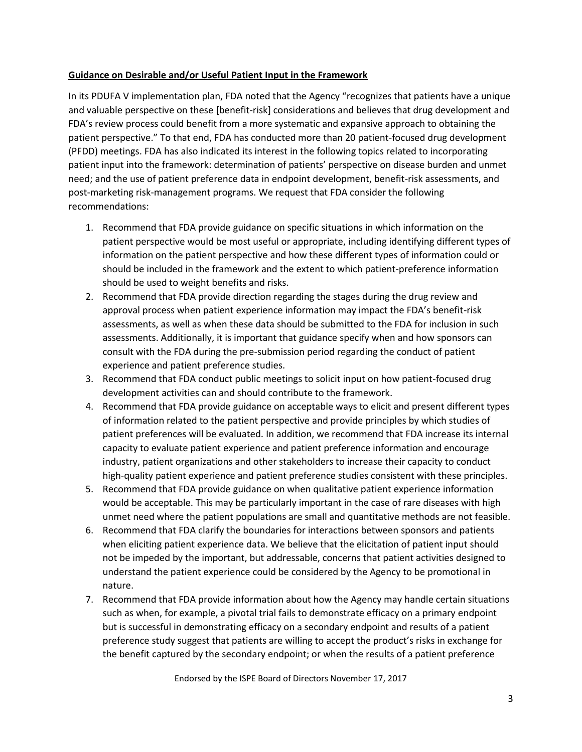## **Guidance on Desirable and/or Useful Patient Input in the Framework**

In its PDUFA V implementation plan, FDA noted that the Agency "recognizes that patients have a unique and valuable perspective on these [benefit-risk] considerations and believes that drug development and FDA's review process could benefit from a more systematic and expansive approach to obtaining the patient perspective." To that end, FDA has conducted more than 20 patient-focused drug development (PFDD) meetings. FDA has also indicated its interest in the following topics related to incorporating patient input into the framework: determination of patients' perspective on disease burden and unmet need; and the use of patient preference data in endpoint development, benefit-risk assessments, and post-marketing risk-management programs. We request that FDA consider the following recommendations:

- 1. Recommend that FDA provide guidance on specific situations in which information on the patient perspective would be most useful or appropriate, including identifying different types of information on the patient perspective and how these different types of information could or should be included in the framework and the extent to which patient-preference information should be used to weight benefits and risks.
- 2. Recommend that FDA provide direction regarding the stages during the drug review and approval process when patient experience information may impact the FDA's benefit-risk assessments, as well as when these data should be submitted to the FDA for inclusion in such assessments. Additionally, it is important that guidance specify when and how sponsors can consult with the FDA during the pre-submission period regarding the conduct of patient experience and patient preference studies.
- 3. Recommend that FDA conduct public meetings to solicit input on how patient-focused drug development activities can and should contribute to the framework.
- 4. Recommend that FDA provide guidance on acceptable ways to elicit and present different types of information related to the patient perspective and provide principles by which studies of patient preferences will be evaluated. In addition, we recommend that FDA increase its internal capacity to evaluate patient experience and patient preference information and encourage industry, patient organizations and other stakeholders to increase their capacity to conduct high-quality patient experience and patient preference studies consistent with these principles.
- 5. Recommend that FDA provide guidance on when qualitative patient experience information would be acceptable. This may be particularly important in the case of rare diseases with high unmet need where the patient populations are small and quantitative methods are not feasible.
- 6. Recommend that FDA clarify the boundaries for interactions between sponsors and patients when eliciting patient experience data. We believe that the elicitation of patient input should not be impeded by the important, but addressable, concerns that patient activities designed to understand the patient experience could be considered by the Agency to be promotional in nature.
- 7. Recommend that FDA provide information about how the Agency may handle certain situations such as when, for example, a pivotal trial fails to demonstrate efficacy on a primary endpoint but is successful in demonstrating efficacy on a secondary endpoint and results of a patient preference study suggest that patients are willing to accept the product's risks in exchange for the benefit captured by the secondary endpoint; or when the results of a patient preference

Endorsed by the ISPE Board of Directors November 17, 2017